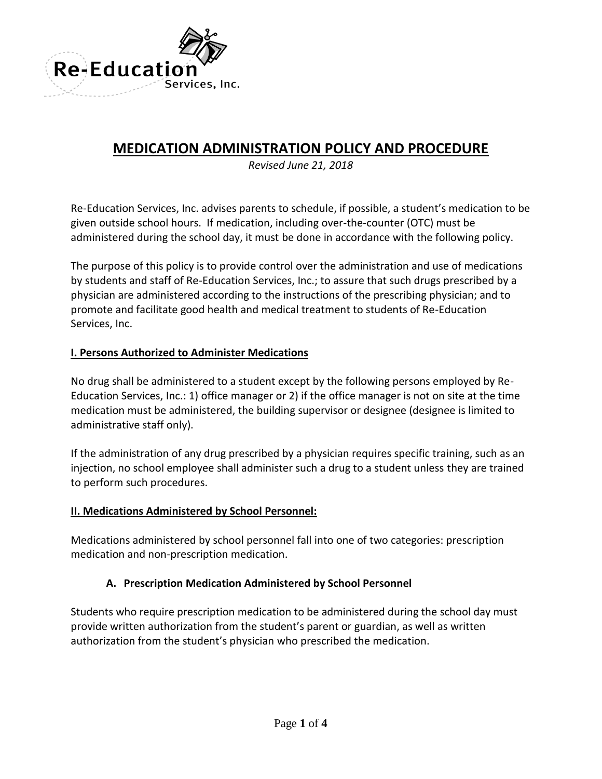

# **MEDICATION ADMINISTRATION POLICY AND PROCEDURE**

*Revised June 21, 2018*

Re-Education Services, Inc. advises parents to schedule, if possible, a student's medication to be given outside school hours. If medication, including over-the-counter (OTC) must be administered during the school day, it must be done in accordance with the following policy.

The purpose of this policy is to provide control over the administration and use of medications by students and staff of Re-Education Services, Inc.; to assure that such drugs prescribed by a physician are administered according to the instructions of the prescribing physician; and to promote and facilitate good health and medical treatment to students of Re-Education Services, Inc.

### **I. Persons Authorized to Administer Medications**

No drug shall be administered to a student except by the following persons employed by Re-Education Services, Inc.: 1) office manager or 2) if the office manager is not on site at the time medication must be administered, the building supervisor or designee (designee is limited to administrative staff only).

If the administration of any drug prescribed by a physician requires specific training, such as an injection, no school employee shall administer such a drug to a student unless they are trained to perform such procedures.

#### **II. Medications Administered by School Personnel:**

Medications administered by school personnel fall into one of two categories: prescription medication and non-prescription medication.

#### **A. Prescription Medication Administered by School Personnel**

Students who require prescription medication to be administered during the school day must provide written authorization from the student's parent or guardian, as well as written authorization from the student's physician who prescribed the medication.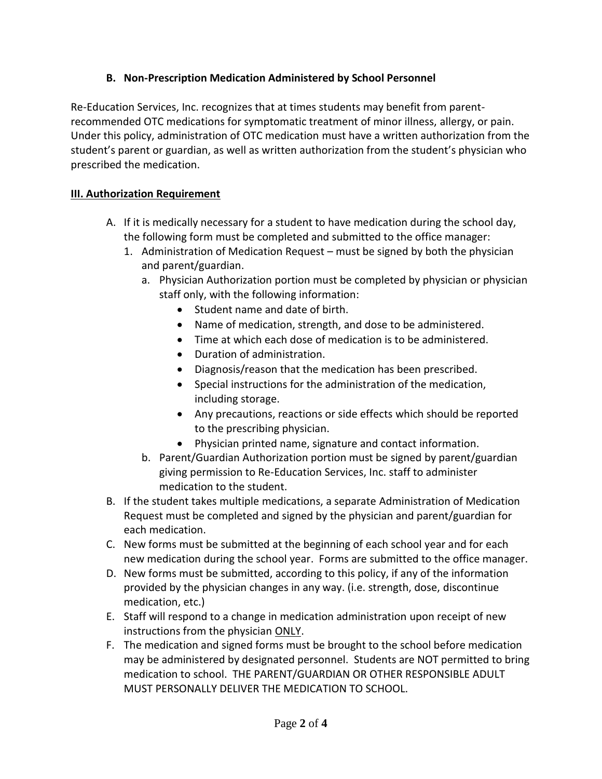## **B. Non-Prescription Medication Administered by School Personnel**

Re-Education Services, Inc. recognizes that at times students may benefit from parentrecommended OTC medications for symptomatic treatment of minor illness, allergy, or pain. Under this policy, administration of OTC medication must have a written authorization from the student's parent or guardian, as well as written authorization from the student's physician who prescribed the medication.

## **III. Authorization Requirement**

- A. If it is medically necessary for a student to have medication during the school day, the following form must be completed and submitted to the office manager:
	- 1. Administration of Medication Request must be signed by both the physician and parent/guardian.
		- a. Physician Authorization portion must be completed by physician or physician staff only, with the following information:
			- Student name and date of birth.
			- Name of medication, strength, and dose to be administered.
			- Time at which each dose of medication is to be administered.
			- Duration of administration.
			- Diagnosis/reason that the medication has been prescribed.
			- Special instructions for the administration of the medication, including storage.
			- Any precautions, reactions or side effects which should be reported to the prescribing physician.
			- Physician printed name, signature and contact information.
		- b. Parent/Guardian Authorization portion must be signed by parent/guardian giving permission to Re-Education Services, Inc. staff to administer medication to the student.
- B. If the student takes multiple medications, a separate Administration of Medication Request must be completed and signed by the physician and parent/guardian for each medication.
- C. New forms must be submitted at the beginning of each school year and for each new medication during the school year. Forms are submitted to the office manager.
- D. New forms must be submitted, according to this policy, if any of the information provided by the physician changes in any way. (i.e. strength, dose, discontinue medication, etc.)
- E. Staff will respond to a change in medication administration upon receipt of new instructions from the physician ONLY.
- F. The medication and signed forms must be brought to the school before medication may be administered by designated personnel. Students are NOT permitted to bring medication to school. THE PARENT/GUARDIAN OR OTHER RESPONSIBLE ADULT MUST PERSONALLY DELIVER THE MEDICATION TO SCHOOL.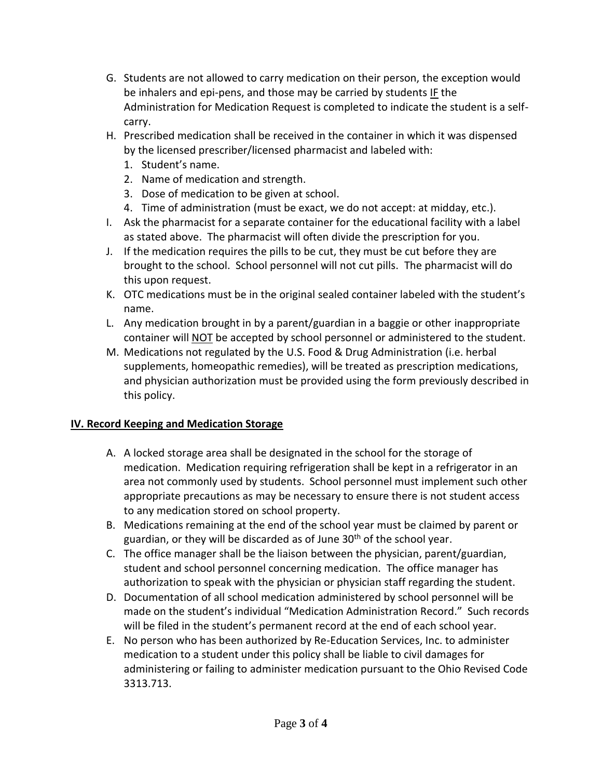- G. Students are not allowed to carry medication on their person, the exception would be inhalers and epi-pens, and those may be carried by students IF the Administration for Medication Request is completed to indicate the student is a selfcarry.
- H. Prescribed medication shall be received in the container in which it was dispensed by the licensed prescriber/licensed pharmacist and labeled with:
	- 1. Student's name.
	- 2. Name of medication and strength.
	- 3. Dose of medication to be given at school.
	- 4. Time of administration (must be exact, we do not accept: at midday, etc.).
- I. Ask the pharmacist for a separate container for the educational facility with a label as stated above. The pharmacist will often divide the prescription for you.
- J. If the medication requires the pills to be cut, they must be cut before they are brought to the school. School personnel will not cut pills. The pharmacist will do this upon request.
- K. OTC medications must be in the original sealed container labeled with the student's name.
- L. Any medication brought in by a parent/guardian in a baggie or other inappropriate container will NOT be accepted by school personnel or administered to the student.
- M. Medications not regulated by the U.S. Food & Drug Administration (i.e. herbal supplements, homeopathic remedies), will be treated as prescription medications, and physician authorization must be provided using the form previously described in this policy.

# **IV. Record Keeping and Medication Storage**

- A. A locked storage area shall be designated in the school for the storage of medication. Medication requiring refrigeration shall be kept in a refrigerator in an area not commonly used by students. School personnel must implement such other appropriate precautions as may be necessary to ensure there is not student access to any medication stored on school property.
- B. Medications remaining at the end of the school year must be claimed by parent or guardian, or they will be discarded as of June 30<sup>th</sup> of the school year.
- C. The office manager shall be the liaison between the physician, parent/guardian, student and school personnel concerning medication. The office manager has authorization to speak with the physician or physician staff regarding the student.
- D. Documentation of all school medication administered by school personnel will be made on the student's individual "Medication Administration Record." Such records will be filed in the student's permanent record at the end of each school year.
- E. No person who has been authorized by Re-Education Services, Inc. to administer medication to a student under this policy shall be liable to civil damages for administering or failing to administer medication pursuant to the Ohio Revised Code 3313.713.